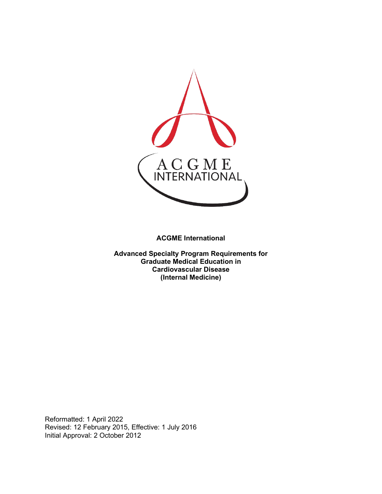

**ACGME International** 

**Advanced Specialty Program Requirements for Graduate Medical Education in Cardiovascular Disease (Internal Medicine)**

Reformatted: 1 April 2022 Revised: 12 February 2015, Effective: 1 July 2016 Initial Approval: 2 October 2012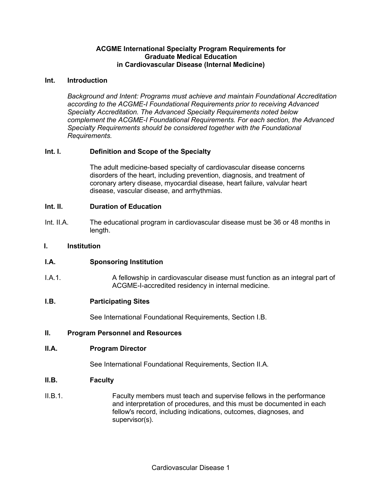## **ACGME International Specialty Program Requirements for Graduate Medical Education in Cardiovascular Disease (Internal Medicine)**

### **Int. Introduction**

*Background and Intent: Programs must achieve and maintain Foundational Accreditation according to the ACGME-I Foundational Requirements prior to receiving Advanced Specialty Accreditation. The Advanced Specialty Requirements noted below complement the ACGME-I Foundational Requirements. For each section, the Advanced Specialty Requirements should be considered together with the Foundational Requirements.*

## **Int. I. Definition and Scope of the Specialty**

The adult medicine-based specialty of cardiovascular disease concerns disorders of the heart, including prevention, diagnosis, and treatment of coronary artery disease, myocardial disease, heart failure, valvular heart disease, vascular disease, and arrhythmias.

### **Int. II. Duration of Education**

Int. II.A. The educational program in cardiovascular disease must be 36 or 48 months in length.

### **I. Institution**

# **I.A. Sponsoring Institution**

I.A.1. A fellowship in cardiovascular disease must function as an integral part of ACGME-I-accredited residency in internal medicine.

#### **I.B. Participating Sites**

See International Foundational Requirements, Section I.B.

### **II. Program Personnel and Resources**

### **II.A. Program Director**

See International Foundational Requirements, Section II.A.

#### **II.B. Faculty**

II.B.1. Faculty members must teach and supervise fellows in the performance and interpretation of procedures, and this must be documented in each fellow's record, including indications, outcomes, diagnoses, and supervisor(s).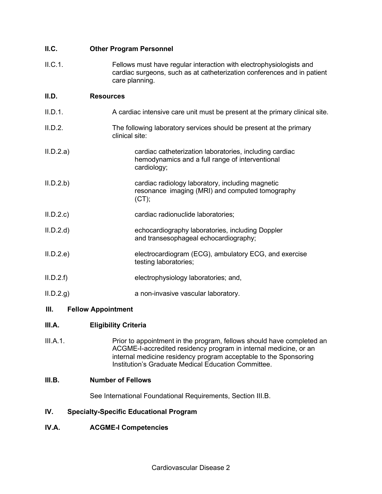| II.C.     | <b>Other Program Personnel</b>                                                                                                                                   |
|-----------|------------------------------------------------------------------------------------------------------------------------------------------------------------------|
| II.C.1.   | Fellows must have regular interaction with electrophysiologists and<br>cardiac surgeons, such as at catheterization conferences and in patient<br>care planning. |
| II.D.     | <b>Resources</b>                                                                                                                                                 |
| II.D.1.   | A cardiac intensive care unit must be present at the primary clinical site.                                                                                      |
| II.D.2.   | The following laboratory services should be present at the primary<br>clinical site:                                                                             |
| II.D.2.a) | cardiac catheterization laboratories, including cardiac<br>hemodynamics and a full range of interventional<br>cardiology;                                        |
| II.D.2.b  | cardiac radiology laboratory, including magnetic<br>resonance imaging (MRI) and computed tomography<br>(CT);                                                     |
| ILD.2.c)  | cardiac radionuclide laboratories;                                                                                                                               |
| II.D.2.d  | echocardiography laboratories, including Doppler<br>and transesophageal echocardiography;                                                                        |
| II.D.2.e  | electrocardiogram (ECG), ambulatory ECG, and exercise<br>testing laboratories;                                                                                   |
| II.D.2.f  | electrophysiology laboratories; and,                                                                                                                             |
| ILD.2.g)  | a non-invasive vascular laboratory.                                                                                                                              |
|           |                                                                                                                                                                  |

# **III. Fellow Appointment**

# **III.A. Eligibility Criteria**

III.A.1. Prior to appointment in the program, fellows should have completed an ACGME-I-accredited residency program in internal medicine, or an internal medicine residency program acceptable to the Sponsoring Institution's Graduate Medical Education Committee.

# **III.B. Number of Fellows**

See International Foundational Requirements, Section III.B.

# **IV. Specialty-Specific Educational Program**

# **IV.A. ACGME-I Competencies**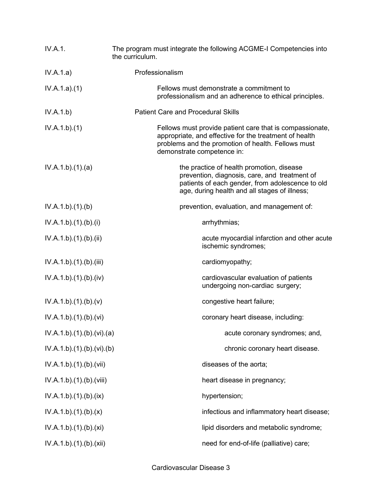| <b>IV.A.1.</b>          | The program must integrate the following ACGME-I Competencies into<br>the curriculum.                                                                                                                  |
|-------------------------|--------------------------------------------------------------------------------------------------------------------------------------------------------------------------------------------------------|
| IV.A.1.a)               | Professionalism                                                                                                                                                                                        |
| IV.A.1.a)(1)            | Fellows must demonstrate a commitment to<br>professionalism and an adherence to ethical principles.                                                                                                    |
| IV.A.1.b)               | <b>Patient Care and Procedural Skills</b>                                                                                                                                                              |
| IV.A.1.b)(1)            | Fellows must provide patient care that is compassionate,<br>appropriate, and effective for the treatment of health<br>problems and the promotion of health. Fellows must<br>demonstrate competence in: |
| IV.A.1.b)(1)(a)         | the practice of health promotion, disease<br>prevention, diagnosis, care, and treatment of<br>patients of each gender, from adolescence to old<br>age, during health and all stages of illness;        |
| IV.A.1.b)(1)(b)         | prevention, evaluation, and management of:                                                                                                                                                             |
| IV.A.1.b)(1)(b)(i)      | arrhythmias;                                                                                                                                                                                           |
| IV.A.1.b)(1)(b)(ii)     | acute myocardial infarction and other acute<br>ischemic syndromes;                                                                                                                                     |
| IV.A.1.b)(1)(b)(iii)    | cardiomyopathy;                                                                                                                                                                                        |
| IV.A.1.b)(1)(b)(iv)     | cardiovascular evaluation of patients<br>undergoing non-cardiac surgery;                                                                                                                               |
| IV.A.1.b)(1)(b)(v)      | congestive heart failure;                                                                                                                                                                              |
| IV.A.1.b)(1)(b)(vi)     | coronary heart disease, including:                                                                                                                                                                     |
| IV.A.1.b)(1)(b)(vi)(a)  | acute coronary syndromes; and,                                                                                                                                                                         |
| IV.A.1.b)(1)(b)(vi)(b)  | chronic coronary heart disease.                                                                                                                                                                        |
| IV.A.1.b).(1).(b).(vii) | diseases of the aorta;                                                                                                                                                                                 |
| IV.A.1.b)(1)(b)(viii)   | heart disease in pregnancy;                                                                                                                                                                            |
| IV.A.1.b) (1) (b) (ix)  | hypertension;                                                                                                                                                                                          |
| IV.A.1.b)(1)(b)(x)      | infectious and inflammatory heart disease;                                                                                                                                                             |
| IV.A.1.b) (1) (b) (xi)  | lipid disorders and metabolic syndrome;                                                                                                                                                                |
| IV.A.1.b).(1).(b).(xii) | need for end-of-life (palliative) care;                                                                                                                                                                |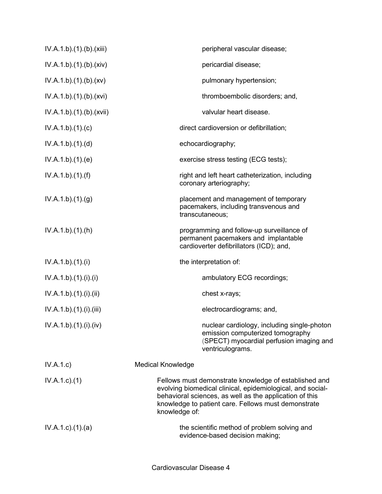| IV.A.1.b)(1)(b)(xiii)     | peripheral vascular disease;                                                                                                                                                                                                                           |
|---------------------------|--------------------------------------------------------------------------------------------------------------------------------------------------------------------------------------------------------------------------------------------------------|
| IV.A.1.b)(1)(b)(xiv)      | pericardial disease;                                                                                                                                                                                                                                   |
| IV.A.1.b)(1)(b)(xv)       | pulmonary hypertension;                                                                                                                                                                                                                                |
| IV.A.1.b)(1)(b)(xvi)      | thromboembolic disorders; and,                                                                                                                                                                                                                         |
| IV.A.1.b)(1)(b)(xvii)     | valvular heart disease.                                                                                                                                                                                                                                |
| IV.A.1.b)(1)(c)           | direct cardioversion or defibrillation;                                                                                                                                                                                                                |
| IV.A.1.b)(1)(d)           | echocardiography;                                                                                                                                                                                                                                      |
| IV.A.1.b)(1)(e)           | exercise stress testing (ECG tests);                                                                                                                                                                                                                   |
| IV.A.1.b)(1)(f)           | right and left heart catheterization, including<br>coronary arteriography;                                                                                                                                                                             |
| IV.A.1.b)(1)(g)           | placement and management of temporary<br>pacemakers, including transvenous and<br>transcutaneous;                                                                                                                                                      |
| IV.A.1.b)(1)(h)           | programming and follow-up surveillance of<br>permanent pacemakers and implantable<br>cardioverter defibrillators (ICD); and,                                                                                                                           |
| IV.A.1.b)(1)(i)           | the interpretation of:                                                                                                                                                                                                                                 |
| IV.A.1.b)(1)(i)(i)        | ambulatory ECG recordings;                                                                                                                                                                                                                             |
| IV.A.1.b)(1)(i)(ii)       | chest x-rays;                                                                                                                                                                                                                                          |
| IV.A.1.b)(1)(i)(iii)      | electrocardiograms; and,                                                                                                                                                                                                                               |
| IV.A.1.b).(1).(i).(iv)    | nuclear cardiology, including single-photon<br>emission computerized tomography<br>(SPECT) myocardial perfusion imaging and<br>ventriculograms.                                                                                                        |
| IV.A.1.c)                 | <b>Medical Knowledge</b>                                                                                                                                                                                                                               |
| $IV.A.1.c.$ (1)           | Fellows must demonstrate knowledge of established and<br>evolving biomedical clinical, epidemiological, and social-<br>behavioral sciences, as well as the application of this<br>knowledge to patient care. Fellows must demonstrate<br>knowledge of: |
| $IV.A.1.c$ . $(1).$ $(a)$ | the scientific method of problem solving and<br>evidence-based decision making;                                                                                                                                                                        |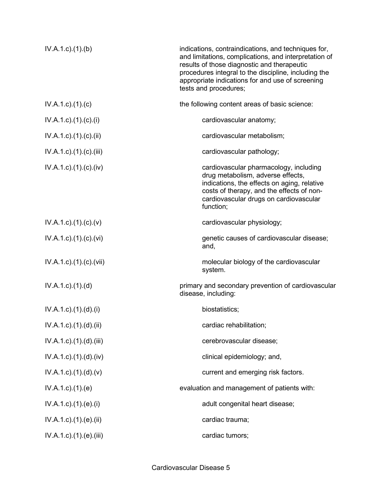| IV.A.1.c.1(1). (b)                    | indications, contraindications, and techniques for,<br>and limitations, complications, and interpretation of<br>results of those diagnostic and therapeutic<br>procedures integral to the discipline, including the<br>appropriate indications for and use of screening<br>tests and procedures; |
|---------------------------------------|--------------------------------------------------------------------------------------------------------------------------------------------------------------------------------------------------------------------------------------------------------------------------------------------------|
| $IV.A.1.c$ ). $(1).$ (c)              | the following content areas of basic science:                                                                                                                                                                                                                                                    |
| IV.A.1.c).(1).(c).(i)                 | cardiovascular anatomy;                                                                                                                                                                                                                                                                          |
| $IV.A.1.c$ ). $(1).$ (c). $(ii)$      | cardiovascular metabolism;                                                                                                                                                                                                                                                                       |
| $IV.A.1.c$ . $(1).$ $(c)$ . $(iii)$   | cardiovascular pathology;                                                                                                                                                                                                                                                                        |
| $IV.A.1.c$ . $(1).$ $(c)$ . $(iv)$    | cardiovascular pharmacology, including<br>drug metabolism, adverse effects,<br>indications, the effects on aging, relative<br>costs of therapy, and the effects of non-<br>cardiovascular drugs on cardiovascular<br>function;                                                                   |
| $IV.A.1.c$ ). $(1). (c). (v)$         | cardiovascular physiology;                                                                                                                                                                                                                                                                       |
| $IV.A.1.c$ . $(1). (c). (vi)$         | genetic causes of cardiovascular disease;<br>and,                                                                                                                                                                                                                                                |
| IV.A.1.c).(1).(c).(vii)               | molecular biology of the cardiovascular<br>system.                                                                                                                                                                                                                                               |
| $IV.A.1.c$ . $(1).$ $(d)$             | primary and secondary prevention of cardiovascular<br>disease, including:                                                                                                                                                                                                                        |
| $IV.A.1.c$ ). $(1).d$ ). $(ii)$       | biostatistics;                                                                                                                                                                                                                                                                                   |
| $IV.A.1.c$ . $(1).(d).(ii)$           | cardiac rehabilitation;                                                                                                                                                                                                                                                                          |
| IV.A.1.c).(1).(d).(iii)               | cerebrovascular disease;                                                                                                                                                                                                                                                                         |
| $IV.A.1.c$ . $(1).$ $(d)$ . $(iv)$    | clinical epidemiology; and,                                                                                                                                                                                                                                                                      |
| $IV.A.1.c$ . $(1).(d).(v)$            | current and emerging risk factors.                                                                                                                                                                                                                                                               |
| IV.A.1.c)(1).(e)                      | evaluation and management of patients with:                                                                                                                                                                                                                                                      |
| $IV.A.1.c$ ). $(1).e$ ). $(ii)$       | adult congenital heart disease;                                                                                                                                                                                                                                                                  |
| $IV.A.1.c$ . $(1).$ $(e).$ $(ii)$     | cardiac trauma;                                                                                                                                                                                                                                                                                  |
| $IV.A.1.c$ ). $(1)$ . $(e)$ . $(iii)$ | cardiac tumors;                                                                                                                                                                                                                                                                                  |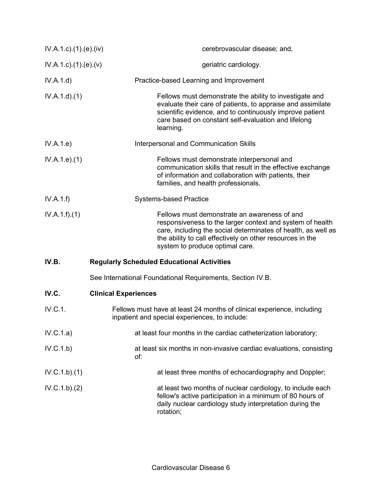| $IV.A.1.c$ . $(1).$ $(e)$ . $(iv)$ | cerebrovascular disease; and,                                                                                                                                                                                                                                              |
|------------------------------------|----------------------------------------------------------------------------------------------------------------------------------------------------------------------------------------------------------------------------------------------------------------------------|
| IV.A.1.c)(1)(e)(v)                 | geriatric cardiology.                                                                                                                                                                                                                                                      |
| IV.A.1.d)                          | Practice-based Learning and Improvement                                                                                                                                                                                                                                    |
| IV.A.1.d.(1)                       | Fellows must demonstrate the ability to investigate and<br>evaluate their care of patients, to appraise and assimilate<br>scientific evidence, and to continuously improve patient<br>care based on constant self-evaluation and lifelong<br>learning.                     |
| IV.A.1.e)                          | Interpersonal and Communication Skills                                                                                                                                                                                                                                     |
| IV.A.1.e. (1)                      | Fellows must demonstrate interpersonal and<br>communication skills that result in the effective exchange<br>of information and collaboration with patients, their<br>families, and health professionals.                                                                   |
| IV.A.1.f)                          | <b>Systems-based Practice</b>                                                                                                                                                                                                                                              |
| IV.A.1.f)(1)                       | Fellows must demonstrate an awareness of and<br>responsiveness to the larger context and system of health<br>care, including the social determinates of health, as well as<br>the ability to call effectively on other resources in the<br>system to produce optimal care. |
| IV.B.                              | <b>Regularly Scheduled Educational Activities</b>                                                                                                                                                                                                                          |
|                                    | See International Foundational Requirements, Section IV.B.                                                                                                                                                                                                                 |
| IV.C.                              | <b>Clinical Experiences</b>                                                                                                                                                                                                                                                |
| IV.C.1.                            | Fellows must have at least 24 months of clinical experience, including<br>inpatient and special experiences, to include:                                                                                                                                                   |
| IV.C.1.a)                          | at least four months in the cardiac catheterization laboratory;                                                                                                                                                                                                            |
| IV.C.1.b)                          | at least six months in non-invasive cardiac evaluations, consisting<br>of:                                                                                                                                                                                                 |
| IV.C.1.b)(1)                       | at least three months of echocardiography and Doppler;                                                                                                                                                                                                                     |
| IV.C.1.b)(2)                       | at least two months of nuclear cardiology, to include each<br>fellow's active participation in a minimum of 80 hours of<br>daily nuclear cardiology study interpretation during the<br>rotation;                                                                           |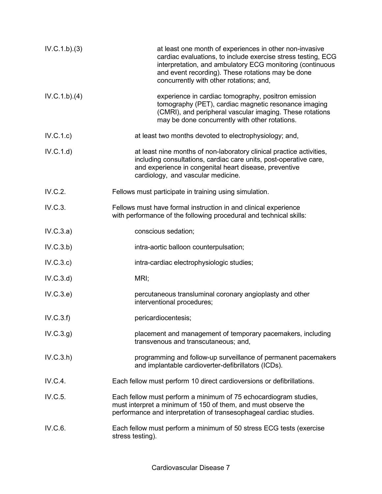| IV.C.1.b)(3) | at least one month of experiences in other non-invasive<br>cardiac evaluations, to include exercise stress testing, ECG<br>interpretation, and ambulatory ECG monitoring (continuous<br>and event recording). These rotations may be done<br>concurrently with other rotations; and, |
|--------------|--------------------------------------------------------------------------------------------------------------------------------------------------------------------------------------------------------------------------------------------------------------------------------------|
| IV.C.1.b)(4) | experience in cardiac tomography, positron emission<br>tomography (PET), cardiac magnetic resonance imaging<br>(CMRI), and peripheral vascular imaging. These rotations<br>may be done concurrently with other rotations.                                                            |
| IV.C.1.c)    | at least two months devoted to electrophysiology; and,                                                                                                                                                                                                                               |
| IV.C.1.d)    | at least nine months of non-laboratory clinical practice activities,<br>including consultations, cardiac care units, post-operative care,<br>and experience in congenital heart disease, preventive<br>cardiology, and vascular medicine.                                            |
| IV.C.2.      | Fellows must participate in training using simulation.                                                                                                                                                                                                                               |
| IV.C.3.      | Fellows must have formal instruction in and clinical experience<br>with performance of the following procedural and technical skills:                                                                                                                                                |
| IV.C.3.a)    | conscious sedation;                                                                                                                                                                                                                                                                  |
| IV.C.3.b)    | intra-aortic balloon counterpulsation;                                                                                                                                                                                                                                               |
| IV.C.3.c)    | intra-cardiac electrophysiologic studies;                                                                                                                                                                                                                                            |
| IV.C.3.d)    | MRI;                                                                                                                                                                                                                                                                                 |
| IV.C.3.e)    | percutaneous transluminal coronary angioplasty and other<br>interventional procedures;                                                                                                                                                                                               |
| IV.C.3.f)    | pericardiocentesis;                                                                                                                                                                                                                                                                  |
| IV.C.3.g)    | placement and management of temporary pacemakers, including<br>transvenous and transcutaneous; and,                                                                                                                                                                                  |
| IV.C.3.h)    | programming and follow-up surveillance of permanent pacemakers<br>and implantable cardioverter-defibrillators (ICDs).                                                                                                                                                                |
| IV.C.4.      | Each fellow must perform 10 direct cardioversions or defibrillations.                                                                                                                                                                                                                |
| IV.C.5.      | Each fellow must perform a minimum of 75 echocardiogram studies,<br>must interpret a minimum of 150 of them, and must observe the<br>performance and interpretation of transesophageal cardiac studies.                                                                              |
| IV.C.6.      | Each fellow must perform a minimum of 50 stress ECG tests (exercise<br>stress testing).                                                                                                                                                                                              |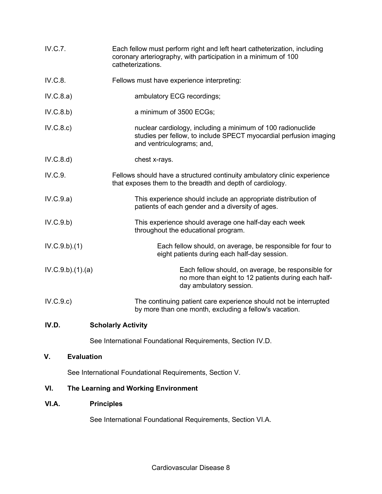| IV.C.7.         | Each fellow must perform right and left heart catheterization, including<br>coronary arteriography, with participation in a minimum of 100<br>catheterizations. |
|-----------------|-----------------------------------------------------------------------------------------------------------------------------------------------------------------|
| IV.C.8.         | Fellows must have experience interpreting:                                                                                                                      |
| IV.C.8.a)       | ambulatory ECG recordings;                                                                                                                                      |
| IV.C.8.b)       | a minimum of 3500 ECGs;                                                                                                                                         |
| IV.C.8.c)       | nuclear cardiology, including a minimum of 100 radionuclide<br>studies per fellow, to include SPECT myocardial perfusion imaging<br>and ventriculograms; and,   |
| IV.C.8.d)       | chest x-rays.                                                                                                                                                   |
| IV.C.9.         | Fellows should have a structured continuity ambulatory clinic experience<br>that exposes them to the breadth and depth of cardiology.                           |
| IV.C.9.a)       | This experience should include an appropriate distribution of<br>patients of each gender and a diversity of ages.                                               |
| IV.C.9.b)       | This experience should average one half-day each week<br>throughout the educational program.                                                                    |
| IV.C.9.b)(1)    | Each fellow should, on average, be responsible for four to<br>eight patients during each half-day session.                                                      |
| IV.C.9.b)(1)(a) | Each fellow should, on average, be responsible for<br>no more than eight to 12 patients during each half-<br>day ambulatory session.                            |
| IV.C.9.c)       | The continuing patient care experience should not be interrupted<br>by more than one month, excluding a fellow's vacation.                                      |
| IV.D.           | <b>Scholarly Activity</b>                                                                                                                                       |
|                 | See International Foundational Requirements, Section IV.D.                                                                                                      |
| ۷.              | <b>Evaluation</b>                                                                                                                                               |
|                 | See International Foundational Requirements, Section V.                                                                                                         |

# **VI. The Learning and Working Environment**

# **VI.A. Principles**

See International Foundational Requirements, Section VI.A.